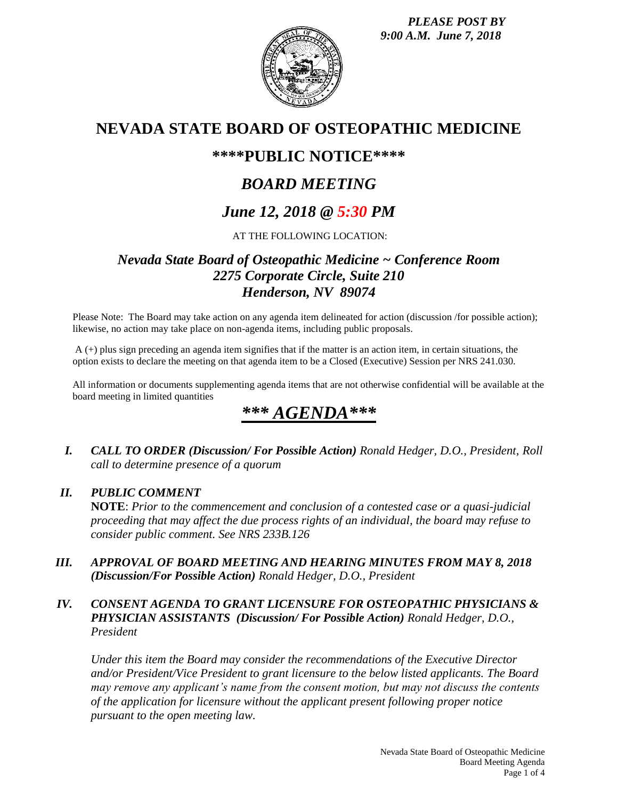*PLEASE POST BY 9:00 A.M. June 7, 2018*



# **NEVADA STATE BOARD OF OSTEOPATHIC MEDICINE**

# **\*\*\*\*PUBLIC NOTICE\*\*\*\***

# *BOARD MEETING*

# *June 12, 2018 @ 5:30 PM*

# AT THE FOLLOWING LOCATION:

# *Nevada State Board of Osteopathic Medicine ~ Conference Room 2275 Corporate Circle, Suite 210 Henderson, NV 89074*

Please Note: The Board may take action on any agenda item delineated for action (discussion /for possible action); likewise, no action may take place on non-agenda items, including public proposals.

A (+) plus sign preceding an agenda item signifies that if the matter is an action item, in certain situations, the option exists to declare the meeting on that agenda item to be a Closed (Executive) Session per NRS 241.030.

All information or documents supplementing agenda items that are not otherwise confidential will be available at the board meeting in limited quantities

# *\*\*\* AGENDA\*\*\**

*I. CALL TO ORDER (Discussion/ For Possible Action) Ronald Hedger, D.O., President, Roll call to determine presence of a quorum*

# *II. PUBLIC COMMENT*

**NOTE**: *Prior to the commencement and conclusion of a contested case or a quasi-judicial proceeding that may affect the due process rights of an individual, the board may refuse to consider public comment. See NRS 233B.126*

*III. APPROVAL OF BOARD MEETING AND HEARING MINUTES FROM MAY 8, 2018 (Discussion/For Possible Action) Ronald Hedger, D.O., President*

# *IV. CONSENT AGENDA TO GRANT LICENSURE FOR OSTEOPATHIC PHYSICIANS & PHYSICIAN ASSISTANTS (Discussion/ For Possible Action) Ronald Hedger, D.O., President*

*Under this item the Board may consider the recommendations of the Executive Director and/or President/Vice President to grant licensure to the below listed applicants. The Board may remove any applicant's name from the consent motion, but may not discuss the contents of the application for licensure without the applicant present following proper notice pursuant to the open meeting law.*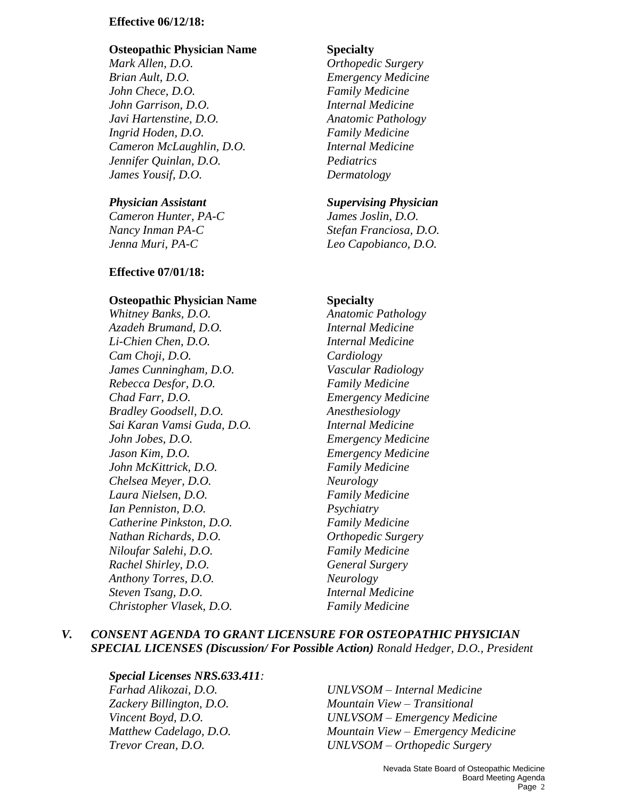### **Effective 06/12/18:**

### **Osteopathic Physician Name Specialty**

*Mark Allen, D.O. Orthopedic Surgery Brian Ault, D.O. Emergency Medicine John Chece, D.O. Family Medicine John Garrison, D.O. Internal Medicine Javi Hartenstine, D.O. Anatomic Pathology Ingrid Hoden, D.O. Family Medicine Cameron McLaughlin, D.O. Internal Medicine Jennifer Quinlan, D.O. Pediatrics James Yousif, D.O. Dermatology*

*Cameron Hunter, PA-C James Joslin, D.O. Nancy Inman PA-C Stefan Franciosa, D.O. Jenna Muri, PA-C Leo Capobianco, D.O.*

#### **Effective 07/01/18:**

#### **Osteopathic Physician Name Specialty**

*Whitney Banks, D.O. Anatomic Pathology Azadeh Brumand, D.O. Internal Medicine Li-Chien Chen, D.O. Internal Medicine Cam Choji, D.O. Cardiology James Cunningham, D.O. Vascular Radiology Rebecca Desfor, D.O. Family Medicine Chad Farr, D.O. Emergency Medicine Bradley Goodsell, D.O. Anesthesiology Sai Karan Vamsi Guda, D.O. Internal Medicine John Jobes, D.O. Emergency Medicine Jason Kim, D.O. Emergency Medicine John McKittrick, D.O. Family Medicine Chelsea Meyer, D.O. Neurology Laura Nielsen, D.O. Family Medicine Ian Penniston, D.O. Psychiatry Catherine Pinkston, D.O. Family Medicine Nathan Richards, D.O. Orthopedic Surgery Niloufar Salehi, D.O. Family Medicine Rachel Shirley, D.O. General Surgery Anthony Torres, D.O. Neurology Steven Tsang, D.O. Internal Medicine Christopher Vlasek, D.O. Family Medicine*

#### *Physician Assistant Supervising Physician*

### *V. CONSENT AGENDA TO GRANT LICENSURE FOR OSTEOPATHIC PHYSICIAN SPECIAL LICENSES (Discussion/ For Possible Action) Ronald Hedger, D.O., President*

#### *Special Licenses NRS.633.411:*

*Farhad Alikozai, D.O. UNLVSOM – Internal Medicine Zackery Billington, D.O. Mountain View – Transitional Vincent Boyd, D.O. UNLVSOM – Emergency Medicine Matthew Cadelago, D.O. Mountain View – Emergency Medicine Trevor Crean, D.O. UNLVSOM – Orthopedic Surgery*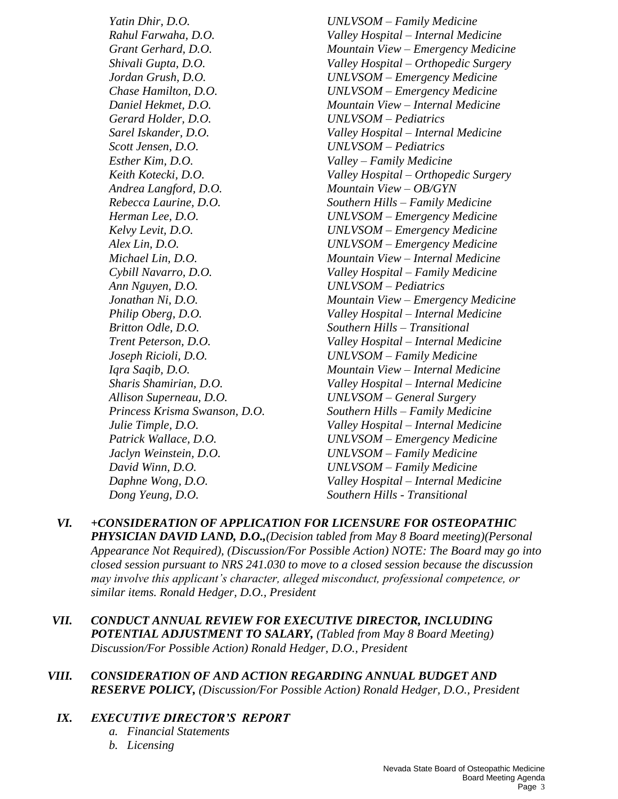*Yatin Dhir, D.O. UNLVSOM – Family Medicine Gerard Holder, D.O. UNLVSOM – Pediatrics Scott Jensen, D.O. UNLVSOM – Pediatrics Esther Kim, D.O. Valley – Family Medicine Andrea Langford, D.O. Mountain View – OB/GYN Ann Nguyen, D.O. UNLVSOM – Pediatrics Britton Odle, D.O. Southern Hills – Transitional Joseph Ricioli, D.O. UNLVSOM – Family Medicine Allison Superneau, D.O. UNLVSOM – General Surgery Jaclyn Weinstein, D.O. UNLVSOM – Family Medicine David Winn, D.O. UNLVSOM – Family Medicine Dong Yeung, D.O. Southern Hills - Transitional*

*Rahul Farwaha, D.O. Valley Hospital – Internal Medicine Grant Gerhard, D.O. Mountain View – Emergency Medicine Shivali Gupta, D.O. Valley Hospital – Orthopedic Surgery Jordan Grush, D.O. UNLVSOM – Emergency Medicine Chase Hamilton, D.O. UNLVSOM – Emergency Medicine Daniel Hekmet, D.O. Mountain View – Internal Medicine Sarel Iskander, D.O. Valley Hospital – Internal Medicine Keith Kotecki, D.O. Valley Hospital – Orthopedic Surgery Rebecca Laurine, D.O. Southern Hills – Family Medicine Herman Lee, D.O. UNLVSOM – Emergency Medicine Kelvy Levit, D.O. UNLVSOM – Emergency Medicine Alex Lin, D.O. UNLVSOM – Emergency Medicine Michael Lin, D.O. Mountain View – Internal Medicine Cybill Navarro, D.O. Valley Hospital – Family Medicine Jonathan Ni, D.O. Mountain View – Emergency Medicine Philip Oberg, D.O. Valley Hospital – Internal Medicine Trent Peterson, D.O. Valley Hospital – Internal Medicine Iqra Saqib, D.O. Mountain View – Internal Medicine Sharis Shamirian, D.O. Valley Hospital – Internal Medicine Princess Krisma Swanson, D.O. Southern Hills – Family Medicine Julie Timple, D.O. Valley Hospital – Internal Medicine Patrick Wallace, D.O. UNLVSOM – Emergency Medicine Daphne Wong, D.O. Valley Hospital – Internal Medicine*

- *VI. +CONSIDERATION OF APPLICATION FOR LICENSURE FOR OSTEOPATHIC PHYSICIAN DAVID LAND, D.O.,(Decision tabled from May 8 Board meeting)(Personal Appearance Not Required), (Discussion/For Possible Action) NOTE: The Board may go into closed session pursuant to NRS 241.030 to move to a closed session because the discussion may involve this applicant's character, alleged misconduct, professional competence, or similar items. Ronald Hedger, D.O., President*
- *VII. CONDUCT ANNUAL REVIEW FOR EXECUTIVE DIRECTOR, INCLUDING POTENTIAL ADJUSTMENT TO SALARY, (Tabled from May 8 Board Meeting) Discussion/For Possible Action) Ronald Hedger, D.O., President*
- *VIII. CONSIDERATION OF AND ACTION REGARDING ANNUAL BUDGET AND RESERVE POLICY, (Discussion/For Possible Action) Ronald Hedger, D.O., President*
	- *IX. EXECUTIVE DIRECTOR'S REPORT*
		- *a. Financial Statements*
		- *b. Licensing*